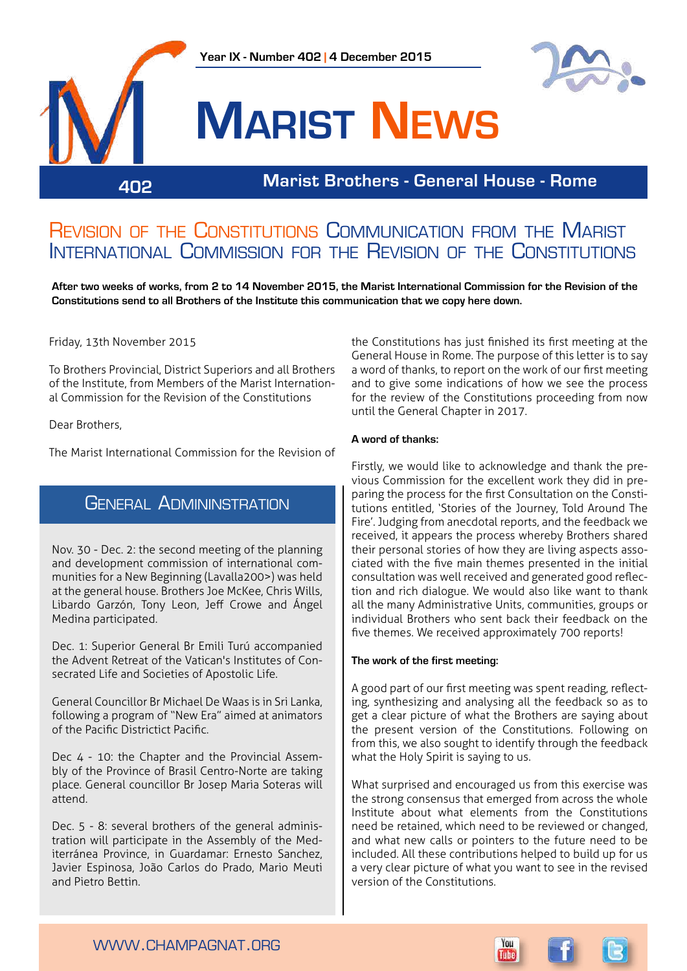



# **Marist News**

### **Marist Brothers - General House - Rome 402**

### Revision of the Constitutions Communication from the Marist International Commission for the Revision of the Constitutions

**After two weeks of works, from 2 to 14 November 2015, the Marist International Commission for the Revision of the Constitutions send to all Brothers of the Institute this communication that we copy here down.**

#### Friday, 13th November 2015

To Brothers Provincial, District Superiors and all Brothers of the Institute, from Members of the Marist International Commission for the Revision of the Constitutions

#### Dear Brothers,

The Marist International Commission for the Revision of

### General Admininstration

Nov. 30 - Dec. 2: the second meeting of the planning and development commission of international communities for a New Beginning (Lavalla200>) was held at the general house. Brothers Joe McKee, Chris Wills, Libardo Garzón, Tony Leon, Jeff Crowe and Ángel Medina participated.

Dec. 1: Superior General Br Emili Turú accompanied the Advent Retreat of the Vatican's Institutes of Consecrated Life and Societies of Apostolic Life.

General Councillor Br Michael De Waas is in Sri Lanka, following a program of "New Era" aimed at animators of the Pacific Districtict Pacific.

Dec 4 - 10: the Chapter and the Provincial Assembly of the Province of Brasil Centro-Norte are taking place. General councillor Br Josep Maria Soteras will attend.

Dec. 5 - 8: several brothers of the general administration will participate in the Assembly of the Mediterránea Province, in Guardamar: Ernesto Sanchez, Javier Espinosa, João Carlos do Prado, Mario Meuti and Pietro Bettin.

the Constitutions has just finished its first meeting at the General House in Rome. The purpose of this letter is to say a word of thanks, to report on the work of our first meeting and to give some indications of how we see the process for the review of the Constitutions proceeding from now until the General Chapter in 2017.

#### **A word of thanks:**

Firstly, we would like to acknowledge and thank the previous Commission for the excellent work they did in preparing the process for the first Consultation on the Constitutions entitled, 'Stories of the Journey, Told Around The Fire'. Judging from anecdotal reports, and the feedback we received, it appears the process whereby Brothers shared their personal stories of how they are living aspects associated with the five main themes presented in the initial consultation was well received and generated good reflection and rich dialogue. We would also like want to thank all the many Administrative Units, communities, groups or individual Brothers who sent back their feedback on the five themes. We received approximately 700 reports!

#### **The work of the first meeting:**

A good part of our first meeting was spent reading, reflecting, synthesizing and analysing all the feedback so as to get a clear picture of what the Brothers are saying about the present version of the Constitutions. Following on from this, we also sought to identify through the feedback what the Holy Spirit is saying to us.

What surprised and encouraged us from this exercise was the strong consensus that emerged from across the whole Institute about what elements from the Constitutions need be retained, which need to be reviewed or changed, and what new calls or pointers to the future need to be included. All these contributions helped to build up for us a very clear picture of what you want to see in the revised version of the Constitutions.



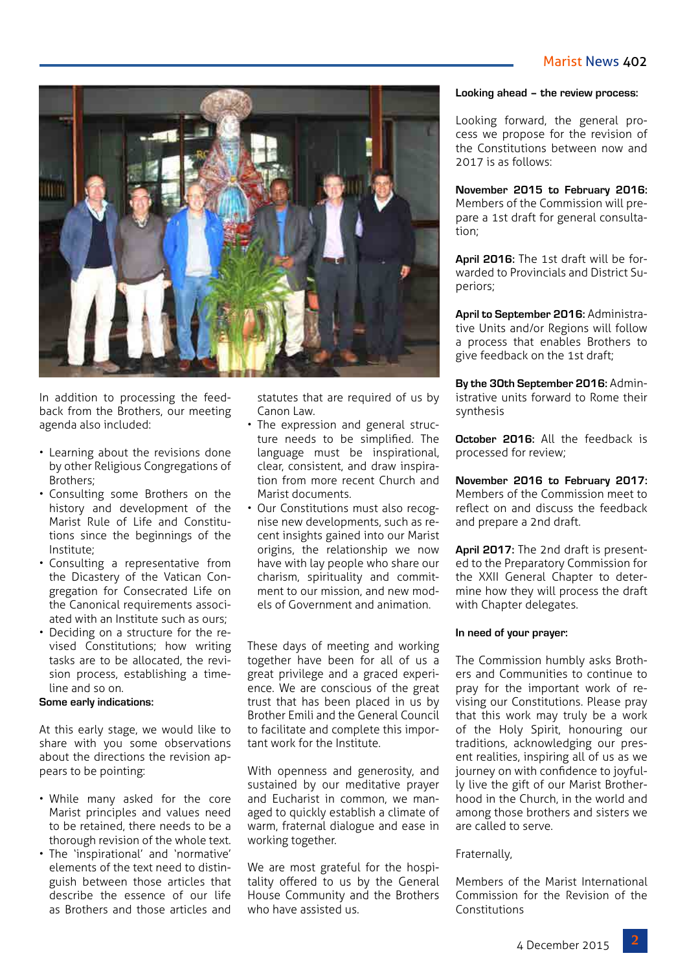

In addition to processing the feedback from the Brothers, our meeting agenda also included:

- Learning about the revisions done by other Religious Congregations of Brothers;
- Consulting some Brothers on the history and development of the Marist Rule of Life and Constitutions since the beginnings of the Institute;
- Consulting a representative from the Dicastery of the Vatican Congregation for Consecrated Life on the Canonical requirements associated with an Institute such as ours;
- Deciding on a structure for the revised Constitutions; how writing tasks are to be allocated, the revision process, establishing a timeline and so on.

#### **Some early indications:**

At this early stage, we would like to share with you some observations about the directions the revision appears to be pointing:

- While many asked for the core Marist principles and values need to be retained, there needs to be a thorough revision of the whole text.
- The 'inspirational' and 'normative' elements of the text need to distinguish between those articles that describe the essence of our life as Brothers and those articles and

statutes that are required of us by Canon Law.

- The expression and general structure needs to be simplified. The language must be inspirational, clear, consistent, and draw inspiration from more recent Church and Marist documents.
- Our Constitutions must also recognise new developments, such as recent insights gained into our Marist origins, the relationship we now have with lay people who share our charism, spirituality and commitment to our mission, and new models of Government and animation.

These days of meeting and working together have been for all of us a great privilege and a graced experience. We are conscious of the great trust that has been placed in us by Brother Emili and the General Council to facilitate and complete this important work for the Institute.

With openness and generosity, and sustained by our meditative prayer and Eucharist in common, we managed to quickly establish a climate of warm, fraternal dialogue and ease in working together.

We are most grateful for the hospitality offered to us by the General House Community and the Brothers who have assisted us.

#### **Looking ahead – the review process:**

Looking forward, the general process we propose for the revision of the Constitutions between now and 2017 is as follows:

**November 2015 to February 2016:**  Members of the Commission will prepare a 1st draft for general consultation;

**April 2016:** The 1st draft will be forwarded to Provincials and District Superiors;

**April to September 2016:** Administrative Units and/or Regions will follow a process that enables Brothers to give feedback on the 1st draft;

**By the 30th September 2016:** Administrative units forward to Rome their synthesis

**October 2016:** All the feedback is processed for review;

**November 2016 to February 2017:**  Members of the Commission meet to reflect on and discuss the feedback and prepare a 2nd draft.

**April 2017:** The 2nd draft is presented to the Preparatory Commission for the XXII General Chapter to determine how they will process the draft with Chapter delegates.

#### **In need of your prayer:**

The Commission humbly asks Brothers and Communities to continue to pray for the important work of revising our Constitutions. Please pray that this work may truly be a work of the Holy Spirit, honouring our traditions, acknowledging our present realities, inspiring all of us as we journey on with confidence to joyfully live the gift of our Marist Brotherhood in the Church, in the world and among those brothers and sisters we are called to serve.

#### Fraternally,

Members of the Marist International Commission for the Revision of the Constitutions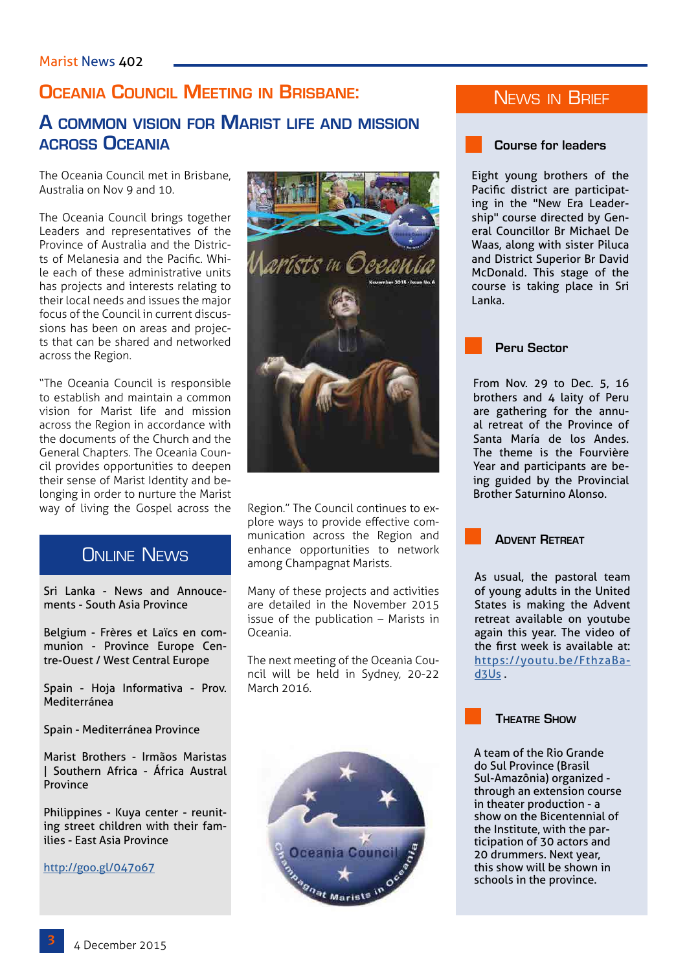### **Oceania Council Meeting in Brisbane:**

### **A common vision for Marist life and mission across Oceania**

The Oceania Council met in Brisbane, Australia on Nov 9 and 10.

The Oceania Council brings together Leaders and representatives of the Province of Australia and the Districts of Melanesia and the Pacific. While each of these administrative units has projects and interests relating to their local needs and issues the major focus of the Council in current discussions has been on areas and projects that can be shared and networked across the Region.

"The Oceania Council is responsible to establish and maintain a common vision for Marist life and mission across the Region in accordance with the documents of the Church and the General Chapters. The Oceania Council provides opportunities to deepen their sense of Marist Identity and belonging in order to nurture the Marist way of living the Gospel across the Region." The Council continues to ex-

### **ONLINE NEWS**

Sri Lanka - News and Annoucements - South Asia Province

Belgium - Frères et Laïcs en communion - Province Europe Centre-Ouest / West Central Europe

Spain - Hoja Informativa - Prov. Mediterránea

Spain - Mediterránea Province

Marist Brothers - Irmãos Maristas | Southern Africa - África Austral Province

Philippines - Kuya center - reuniting street children with their families - East Asia Province

[http://goo.gl/047o67](http://goo.gl/037o67)



plore ways to provide effective communication across the Region and enhance opportunities to network among Champagnat Marists.

Many of these projects and activities are detailed in the November 2015 issue of the publication – Marists in Oceania.

The next meeting of the Oceania Council will be held in Sydney, 20-22 March 2016.



### News in Brief

**Course for leaders** 

Eight young brothers of the Pacific district are participating in the "New Era Leadership" course directed by General Councillor Br Michael De Waas, along with sister Piluca and District Superior Br David McDonald. This stage of the course is taking place in Sri Lanka.

**Peru Sector**

From Nov. 29 to Dec. 5, 16 brothers and 4 laity of Peru are gathering for the annual retreat of the Province of Santa María de los Andes. The theme is the Fourvière Year and participants are being guided by the Provincial Brother Saturnino Alonso.

**Advent Retreat**

As usual, the pastoral team of young adults in the United States is making the Advent retreat available on youtube again this year. The video of the first week is available at: https://youtu.be/FthzaBad3Us .



A team of the Rio Grande do Sul Province (Brasil Sul-Amazônia) organized through an extension course in theater production - a show on the Bicentennial of the Institute, with the participation of 30 actors and 20 drummers. Next year, this show will be shown in schools in the province.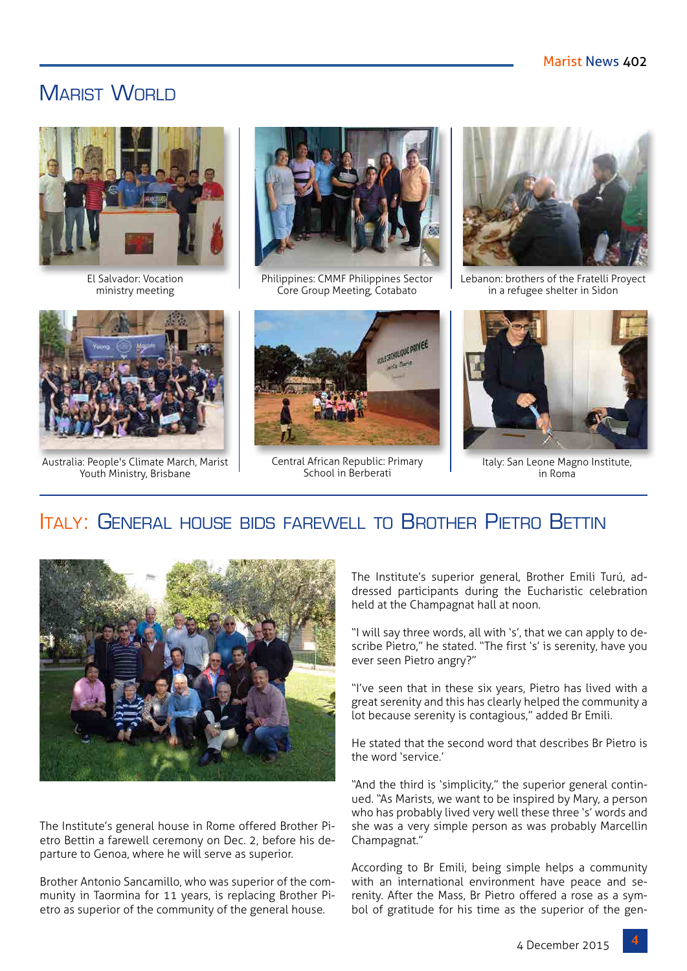### MARIST WORLD



El Salvador: Vocation ministry meeting



Philippines: CMMF Philippines Sector Core Group Meeting, Cotabato



Lebanon: brothers of the Fratelli Proyect in a refugee shelter in Sidon



Australia: People's Climate March, Marist Youth Ministry, Brisbane



Central African Republic: Primary School in Berberati



Italy: San Leone Magno Institute, in Roma

### Italy: General house bids farewell to Brother Pietro Bettin



The Institute's general house in Rome offered Brother Pietro Bettin a farewell ceremony on Dec. 2, before his departure to Genoa, where he will serve as superior.

Brother Antonio Sancamillo, who was superior of the community in Taormina for 11 years, is replacing Brother Pietro as superior of the community of the general house.

The Institute's superior general, Brother Emili Turú, addressed participants during the Eucharistic celebration held at the Champagnat hall at noon.

"I will say three words, all with 's', that we can apply to describe Pietro," he stated. "The first 's' is serenity, have you ever seen Pietro angry?"

"I've seen that in these six years, Pietro has lived with a great serenity and this has clearly helped the community a lot because serenity is contagious," added Br Emili.

He stated that the second word that describes Br Pietro is the word 'service.'

"And the third is 'simplicity," the superior general continued. "As Marists, we want to be inspired by Mary, a person who has probably lived very well these three 's' words and she was a very simple person as was probably Marcellin Champagnat."

According to Br Emili, being simple helps a community with an international environment have peace and serenity. After the Mass, Br Pietro offered a rose as a symbol of gratitude for his time as the superior of the gen-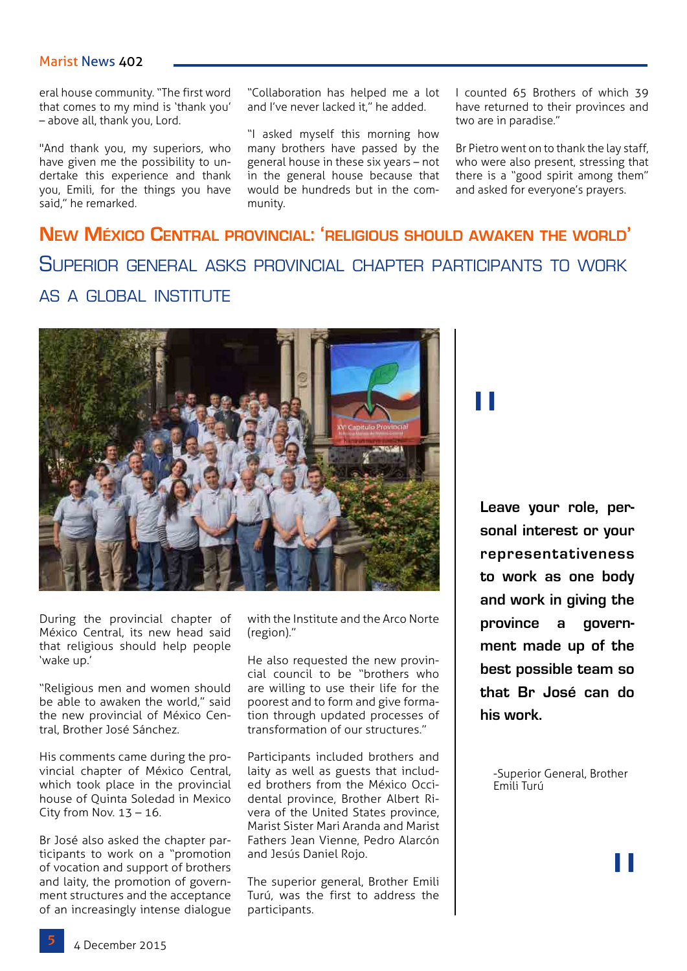#### Marist News 402

eral house community. "The first word that comes to my mind is 'thank you' – above all, thank you, Lord.

"And thank you, my superiors, who have given me the possibility to undertake this experience and thank you, Emili, for the things you have said," he remarked.

"Collaboration has helped me a lot and I've never lacked it," he added.

"I asked myself this morning how many brothers have passed by the general house in these six years – not in the general house because that would be hundreds but in the community.

I counted 65 Brothers of which 39 have returned to their provinces and two are in paradise."

Br Pietro went on to thank the lay staff, who were also present, stressing that there is a "good spirit among them" and asked for everyone's prayers.

### **New México Central provincial: 'religious should awaken the world'** Superior general asks provincial chapter participants to work as a global institute



During the provincial chapter of México Central, its new head said that religious should help people 'wake up.'

"Religious men and women should be able to awaken the world," said the new provincial of México Central, Brother José Sánchez.

His comments came during the provincial chapter of México Central, which took place in the provincial house of Quinta Soledad in Mexico City from Nov.  $13 - 16$ .

Br José also asked the chapter participants to work on a "promotion of vocation and support of brothers and laity, the promotion of government structures and the acceptance of an increasingly intense dialogue with the Institute and the Arco Norte (region)."

He also requested the new provincial council to be "brothers who are willing to use their life for the poorest and to form and give formation through updated processes of transformation of our structures."

Participants included brothers and laity as well as guests that included brothers from the México Occidental province, Brother Albert Rivera of the United States province, Marist Sister Mari Aranda and Marist Fathers Jean Vienne, Pedro Alarcón and Jesús Daniel Rojo.

The superior general, Brother Emili Turú, was the first to address the participants.

"

**Leave your role, personal interest or your representativeness to work as one body and work in giving the province a government made up of the best possible team so that Br José can do his work.**

-Superior General, Brother Emili Turú

"